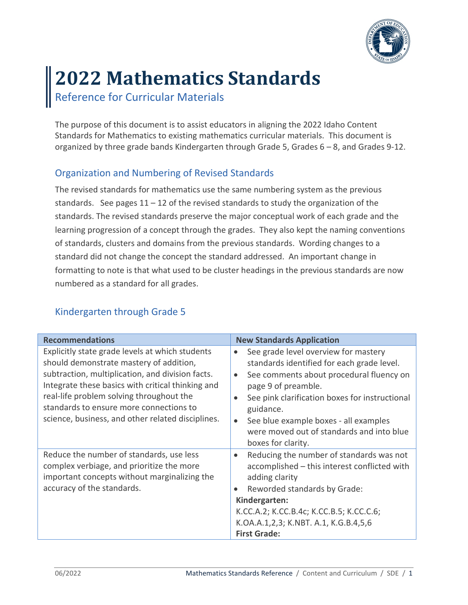

# **2022 Mathematics Standards**

Reference for Curricular Materials

The purpose of this document is to assist educators in aligning the 2022 Idaho Content Standards for Mathematics to existing mathematics curricular materials. This document is organized by three grade bands Kindergarten through Grade 5, Grades 6 – 8, and Grades 9-12.

### Organization and Numbering of Revised Standards

The revised standards for mathematics use the same numbering system as the previous standards. See pages  $11 - 12$  of the revised standards to study the organization of the standards. The revised standards preserve the major conceptual work of each grade and the learning progression of a concept through the grades. They also kept the naming conventions of standards, clusters and domains from the previous standards. Wording changes to a standard did not change the concept the standard addressed. An important change in formatting to note is that what used to be cluster headings in the previous standards are now numbered as a standard for all grades.

### Kindergarten through Grade 5

| <b>Recommendations</b>                                                                                                                                                                                                                                                                                                                          | <b>New Standards Application</b>                                                                                                                                                                                                                                                                                                                                                     |
|-------------------------------------------------------------------------------------------------------------------------------------------------------------------------------------------------------------------------------------------------------------------------------------------------------------------------------------------------|--------------------------------------------------------------------------------------------------------------------------------------------------------------------------------------------------------------------------------------------------------------------------------------------------------------------------------------------------------------------------------------|
| Explicitly state grade levels at which students<br>should demonstrate mastery of addition,<br>subtraction, multiplication, and division facts.<br>Integrate these basics with critical thinking and<br>real-life problem solving throughout the<br>standards to ensure more connections to<br>science, business, and other related disciplines. | See grade level overview for mastery<br>$\bullet$<br>standards identified for each grade level.<br>See comments about procedural fluency on<br>$\bullet$<br>page 9 of preamble.<br>See pink clarification boxes for instructional<br>$\bullet$<br>guidance.<br>See blue example boxes - all examples<br>$\bullet$<br>were moved out of standards and into blue<br>boxes for clarity. |
| Reduce the number of standards, use less<br>complex verbiage, and prioritize the more<br>important concepts without marginalizing the<br>accuracy of the standards.                                                                                                                                                                             | Reducing the number of standards was not<br>$\bullet$<br>accomplished - this interest conflicted with<br>adding clarity<br>Reworded standards by Grade:<br>$\bullet$<br>Kindergarten:<br>K.CC.A.2; K.CC.B.4c; K.CC.B.5; K.CC.C.6;<br>K.OA.A.1,2,3; K.NBT. A.1, K.G.B.4,5,6<br><b>First Grade:</b>                                                                                    |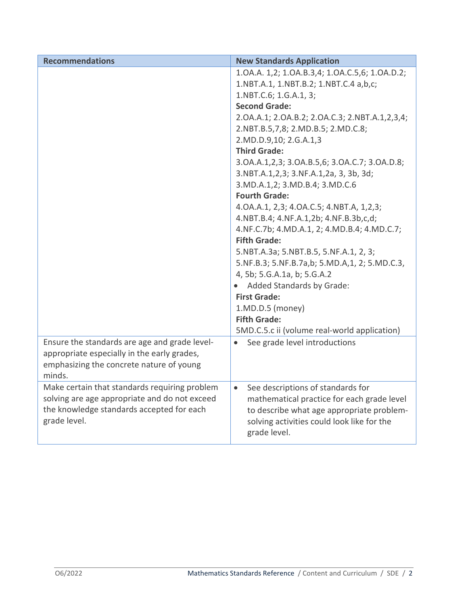| <b>Recommendations</b>                                    | <b>New Standards Application</b>               |
|-----------------------------------------------------------|------------------------------------------------|
|                                                           | 1.0A.A. 1,2; 1.0A.B.3,4; 1.0A.C.5,6; 1.0A.D.2; |
|                                                           | 1.NBT.A.1, 1.NBT.B.2; 1.NBT.C.4 a,b,c;         |
|                                                           | 1.NBT.C.6; 1.G.A.1, 3;                         |
|                                                           | <b>Second Grade:</b>                           |
|                                                           | 2.0A.A.1; 2.0A.B.2; 2.0A.C.3; 2.NBT.A.1,2,3,4; |
|                                                           | 2.NBT.B.5,7,8; 2.MD.B.5; 2.MD.C.8;             |
|                                                           | 2.MD.D.9,10; 2.G.A.1,3                         |
|                                                           | <b>Third Grade:</b>                            |
|                                                           | 3.0A.A.1,2,3; 3.0A.B.5,6; 3.0A.C.7; 3.0A.D.8;  |
|                                                           | 3.NBT.A.1,2,3; 3.NF.A.1,2a, 3, 3b, 3d;         |
|                                                           | 3.MD.A.1,2; 3.MD.B.4; 3.MD.C.6                 |
|                                                           | <b>Fourth Grade:</b>                           |
|                                                           | 4.0A.A.1, 2,3; 4.0A.C.5; 4.NBT.A, 1,2,3;       |
|                                                           | 4.NBT.B.4; 4.NF.A.1,2b; 4.NF.B.3b,c,d;         |
|                                                           | 4.NF.C.7b; 4.MD.A.1, 2; 4.MD.B.4; 4.MD.C.7;    |
|                                                           | <b>Fifth Grade:</b>                            |
|                                                           | 5.NBT.A.3a; 5.NBT.B.5, 5.NF.A.1, 2, 3;         |
|                                                           | 5.NF.B.3; 5.NF.B.7a,b; 5.MD.A,1, 2; 5.MD.C.3,  |
|                                                           | 4, 5b; 5.G.A.1a, b; 5.G.A.2                    |
|                                                           | Added Standards by Grade:                      |
|                                                           | <b>First Grade:</b>                            |
|                                                           | 1.MD.D.5 (money)                               |
|                                                           | <b>Fifth Grade:</b>                            |
|                                                           | 5MD.C.5.c ii (volume real-world application)   |
| Ensure the standards are age and grade level-             | See grade level introductions<br>$\bullet$     |
| appropriate especially in the early grades,               |                                                |
| emphasizing the concrete nature of young                  |                                                |
| minds.                                                    |                                                |
| Make certain that standards requiring problem             | See descriptions of standards for<br>$\bullet$ |
| solving are age appropriate and do not exceed             | mathematical practice for each grade level     |
| the knowledge standards accepted for each<br>grade level. | to describe what age appropriate problem-      |
|                                                           | solving activities could look like for the     |
|                                                           | grade level.                                   |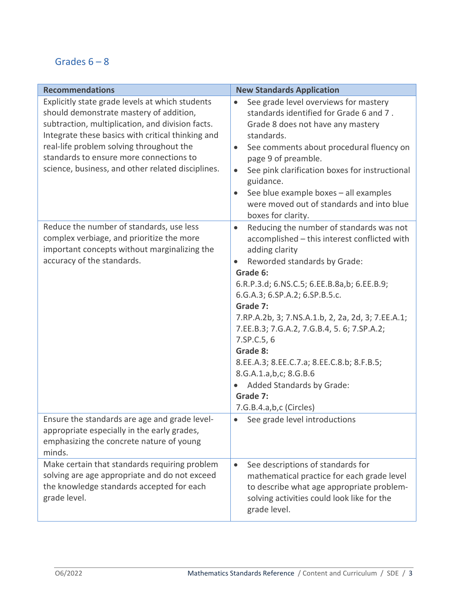## Grades  $6 - 8$

| <b>Recommendations</b>                                                                                                                                                                                                                                                                                                                          | <b>New Standards Application</b>                                                                                                                                                                                                                                                                                                                                                                                                                                                                                                            |
|-------------------------------------------------------------------------------------------------------------------------------------------------------------------------------------------------------------------------------------------------------------------------------------------------------------------------------------------------|---------------------------------------------------------------------------------------------------------------------------------------------------------------------------------------------------------------------------------------------------------------------------------------------------------------------------------------------------------------------------------------------------------------------------------------------------------------------------------------------------------------------------------------------|
| Explicitly state grade levels at which students<br>should demonstrate mastery of addition,<br>subtraction, multiplication, and division facts.<br>Integrate these basics with critical thinking and<br>real-life problem solving throughout the<br>standards to ensure more connections to<br>science, business, and other related disciplines. | See grade level overviews for mastery<br>$\bullet$<br>standards identified for Grade 6 and 7.<br>Grade 8 does not have any mastery<br>standards.<br>See comments about procedural fluency on<br>$\bullet$<br>page 9 of preamble.<br>See pink clarification boxes for instructional<br>$\bullet$<br>guidance.<br>See blue example boxes - all examples<br>$\bullet$<br>were moved out of standards and into blue<br>boxes for clarity.                                                                                                       |
| Reduce the number of standards, use less<br>complex verbiage, and prioritize the more<br>important concepts without marginalizing the<br>accuracy of the standards.                                                                                                                                                                             | Reducing the number of standards was not<br>$\bullet$<br>accomplished - this interest conflicted with<br>adding clarity<br>Reworded standards by Grade:<br>Grade 6:<br>6.R.P.3.d; 6.NS.C.5; 6.EE.B.8a,b; 6.EE.B.9;<br>6.G.A.3; 6.SP.A.2; 6.SP.B.5.c.<br>Grade 7:<br>7.RP.A.2b, 3; 7.NS.A.1.b, 2, 2a, 2d, 3; 7.EE.A.1;<br>7.EE.B.3; 7.G.A.2, 7.G.B.4, 5. 6; 7.SP.A.2;<br>7.SP.C.5, 6<br>Grade 8:<br>8.EE.A.3; 8.EE.C.7.a; 8.EE.C.8.b; 8.F.B.5;<br>8.G.A.1.a,b,c; 8.G.B.6<br>Added Standards by Grade:<br>Grade 7:<br>7.G.B.4.a,b,c (Circles) |
| Ensure the standards are age and grade level-<br>appropriate especially in the early grades,<br>emphasizing the concrete nature of young<br>minds.                                                                                                                                                                                              | See grade level introductions<br>$\bullet$                                                                                                                                                                                                                                                                                                                                                                                                                                                                                                  |
| Make certain that standards requiring problem<br>solving are age appropriate and do not exceed<br>the knowledge standards accepted for each<br>grade level.                                                                                                                                                                                     | See descriptions of standards for<br>$\bullet$<br>mathematical practice for each grade level<br>to describe what age appropriate problem-<br>solving activities could look like for the<br>grade level.                                                                                                                                                                                                                                                                                                                                     |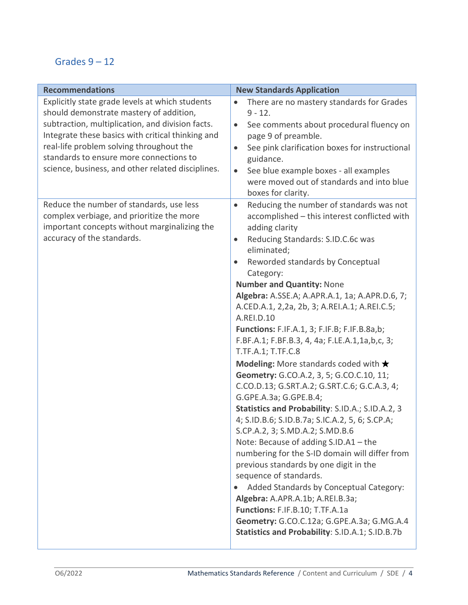# Grades  $9 - 12$

| <b>Recommendations</b>                                                                                                                                                                                                                                                                                                                          | <b>New Standards Application</b>                                                                                                                                                                                                                                                                                                                                                                                                                                                                                                                                                                                                                                                                                                                                                                                                                                                                                                                                                                                                                                                                                                                                                                                                      |
|-------------------------------------------------------------------------------------------------------------------------------------------------------------------------------------------------------------------------------------------------------------------------------------------------------------------------------------------------|---------------------------------------------------------------------------------------------------------------------------------------------------------------------------------------------------------------------------------------------------------------------------------------------------------------------------------------------------------------------------------------------------------------------------------------------------------------------------------------------------------------------------------------------------------------------------------------------------------------------------------------------------------------------------------------------------------------------------------------------------------------------------------------------------------------------------------------------------------------------------------------------------------------------------------------------------------------------------------------------------------------------------------------------------------------------------------------------------------------------------------------------------------------------------------------------------------------------------------------|
| Explicitly state grade levels at which students<br>should demonstrate mastery of addition,<br>subtraction, multiplication, and division facts.<br>Integrate these basics with critical thinking and<br>real-life problem solving throughout the<br>standards to ensure more connections to<br>science, business, and other related disciplines. | There are no mastery standards for Grades<br>$\bullet$<br>$9 - 12.$<br>See comments about procedural fluency on<br>$\bullet$<br>page 9 of preamble.<br>See pink clarification boxes for instructional<br>$\bullet$<br>guidance.<br>See blue example boxes - all examples<br>$\bullet$<br>were moved out of standards and into blue<br>boxes for clarity.                                                                                                                                                                                                                                                                                                                                                                                                                                                                                                                                                                                                                                                                                                                                                                                                                                                                              |
| Reduce the number of standards, use less<br>complex verbiage, and prioritize the more<br>important concepts without marginalizing the<br>accuracy of the standards.                                                                                                                                                                             | Reducing the number of standards was not<br>$\bullet$<br>accomplished - this interest conflicted with<br>adding clarity<br>Reducing Standards: S.ID.C.6c was<br>$\bullet$<br>eliminated;<br>Reworded standards by Conceptual<br>Category:<br><b>Number and Quantity: None</b><br>Algebra: A.SSE.A; A.APR.A.1, 1a; A.APR.D.6, 7;<br>A.CED.A.1, 2,2a, 2b, 3; A.REI.A.1; A.REI.C.5;<br>A.REI.D.10<br><b>Functions:</b> F.IF.A.1, 3; F.IF.B; F.IF.B.8a,b;<br>F.BF.A.1; F.BF.B.3, 4, 4a; F.LE.A.1,1a,b,c, 3;<br>T.TF.A.1; T.TF.C.8<br><b>Modeling:</b> More standards coded with $\star$<br>Geometry: G.CO.A.2, 3, 5; G.CO.C.10, 11;<br>C.CO.D.13; G.SRT.A.2; G.SRT.C.6; G.C.A.3, 4;<br>G.GPE.A.3a; G.GPE.B.4;<br>Statistics and Probability: S.ID.A.; S.ID.A.2, 3<br>4; S.ID.B.6; S.ID.B.7a; S.IC.A.2, 5, 6; S.CP.A;<br>S.CP.A.2, 3; S.MD.A.2; S.MD.B.6<br>Note: Because of adding S.ID.A1 - the<br>numbering for the S-ID domain will differ from<br>previous standards by one digit in the<br>sequence of standards.<br>Added Standards by Conceptual Category:<br>Algebra: A.APR.A.1b; A.REI.B.3a;<br>Functions: F.IF.B.10; T.TF.A.1a<br>Geometry: G.CO.C.12a; G.GPE.A.3a; G.MG.A.4<br>Statistics and Probability: S.ID.A.1; S.ID.B.7b |